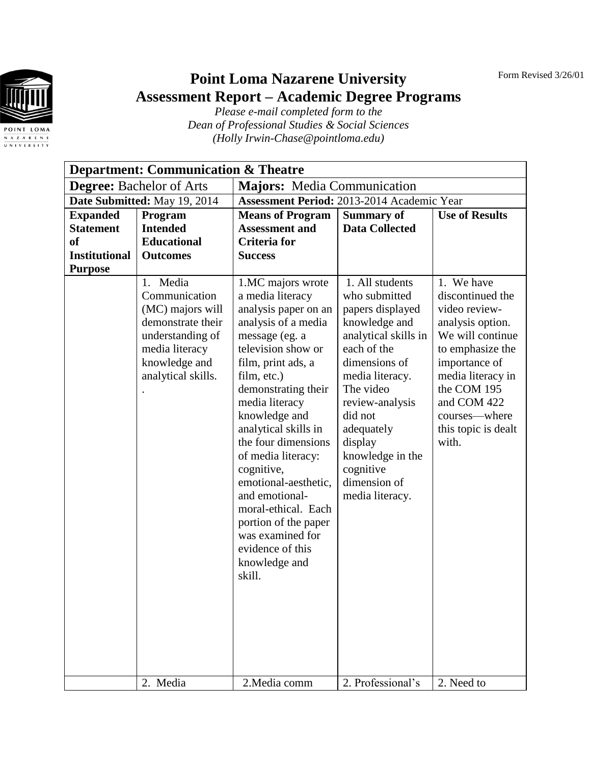Form Revised 3/26/01



## **Point Loma Nazarene University Assessment Report – Academic Degree Programs**

*Please e-mail completed form to the Dean of Professional Studies & Social Sciences (Holly Irwin-Chase@pointloma.edu)*

| <b>Department: Communication &amp; Theatre</b> |                                                                                                                                                 |                                                                                                                                                                                                                                                                                                                                                                                                                                                                            |                                                                                                                                                                                                                                                                                          |                                                                                                                                                                                                                                  |
|------------------------------------------------|-------------------------------------------------------------------------------------------------------------------------------------------------|----------------------------------------------------------------------------------------------------------------------------------------------------------------------------------------------------------------------------------------------------------------------------------------------------------------------------------------------------------------------------------------------------------------------------------------------------------------------------|------------------------------------------------------------------------------------------------------------------------------------------------------------------------------------------------------------------------------------------------------------------------------------------|----------------------------------------------------------------------------------------------------------------------------------------------------------------------------------------------------------------------------------|
| <b>Degree:</b> Bachelor of Arts                |                                                                                                                                                 | <b>Majors:</b> Media Communication                                                                                                                                                                                                                                                                                                                                                                                                                                         |                                                                                                                                                                                                                                                                                          |                                                                                                                                                                                                                                  |
| Date Submitted: May 19, 2014                   |                                                                                                                                                 | Assessment Period: 2013-2014 Academic Year                                                                                                                                                                                                                                                                                                                                                                                                                                 |                                                                                                                                                                                                                                                                                          |                                                                                                                                                                                                                                  |
| <b>Expanded</b>                                | Program                                                                                                                                         | <b>Means of Program</b>                                                                                                                                                                                                                                                                                                                                                                                                                                                    | <b>Summary of</b>                                                                                                                                                                                                                                                                        | <b>Use of Results</b>                                                                                                                                                                                                            |
| <b>Statement</b>                               | <b>Intended</b>                                                                                                                                 | <b>Assessment and</b>                                                                                                                                                                                                                                                                                                                                                                                                                                                      | <b>Data Collected</b>                                                                                                                                                                                                                                                                    |                                                                                                                                                                                                                                  |
| <sub>of</sub>                                  | <b>Educational</b>                                                                                                                              | <b>Criteria</b> for                                                                                                                                                                                                                                                                                                                                                                                                                                                        |                                                                                                                                                                                                                                                                                          |                                                                                                                                                                                                                                  |
| <b>Institutional</b>                           | <b>Outcomes</b>                                                                                                                                 | <b>Success</b>                                                                                                                                                                                                                                                                                                                                                                                                                                                             |                                                                                                                                                                                                                                                                                          |                                                                                                                                                                                                                                  |
| <b>Purpose</b>                                 | 1. Media<br>Communication<br>(MC) majors will<br>demonstrate their<br>understanding of<br>media literacy<br>knowledge and<br>analytical skills. | 1.MC majors wrote<br>a media literacy<br>analysis paper on an<br>analysis of a media<br>message (eg. a<br>television show or<br>film, print ads, a<br>film, etc.)<br>demonstrating their<br>media literacy<br>knowledge and<br>analytical skills in<br>the four dimensions<br>of media literacy:<br>cognitive,<br>emotional-aesthetic,<br>and emotional-<br>moral-ethical. Each<br>portion of the paper<br>was examined for<br>evidence of this<br>knowledge and<br>skill. | 1. All students<br>who submitted<br>papers displayed<br>knowledge and<br>analytical skills in<br>each of the<br>dimensions of<br>media literacy.<br>The video<br>review-analysis<br>did not<br>adequately<br>display<br>knowledge in the<br>cognitive<br>dimension of<br>media literacy. | 1. We have<br>discontinued the<br>video review-<br>analysis option.<br>We will continue<br>to emphasize the<br>importance of<br>media literacy in<br>the COM 195<br>and COM 422<br>courses-where<br>this topic is dealt<br>with. |
|                                                | 2. Media                                                                                                                                        | 2. Media comm                                                                                                                                                                                                                                                                                                                                                                                                                                                              | 2. Professional's                                                                                                                                                                                                                                                                        | 2. Need to                                                                                                                                                                                                                       |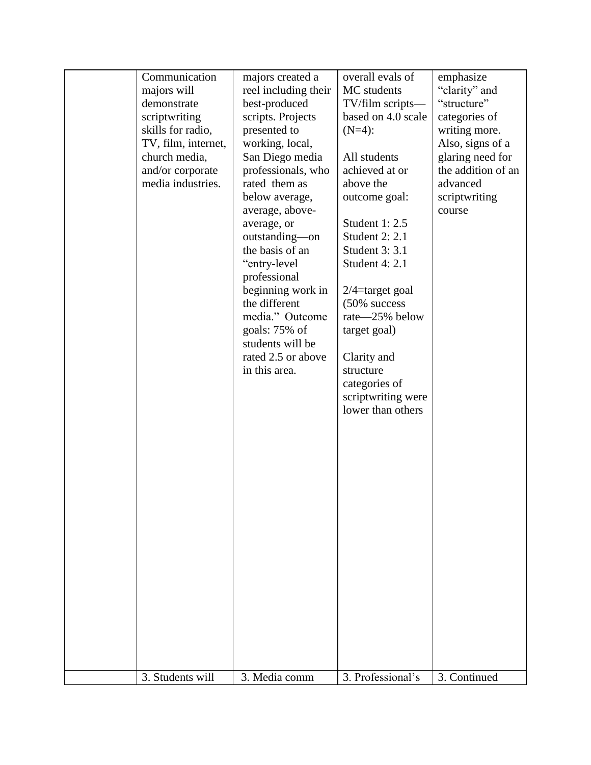| Communication       | majors created a     | overall evals of   | emphasize          |
|---------------------|----------------------|--------------------|--------------------|
| majors will         | reel including their | MC students        | "clarity" and      |
| demonstrate         | best-produced        | TV/film scripts-   | "structure"        |
| scriptwriting       | scripts. Projects    | based on 4.0 scale | categories of      |
| skills for radio,   | presented to         | $(N=4)$ :          | writing more.      |
| TV, film, internet, | working, local,      |                    | Also, signs of a   |
| church media,       | San Diego media      | All students       | glaring need for   |
| and/or corporate    | professionals, who   | achieved at or     | the addition of an |
| media industries.   | rated them as        | above the          | advanced           |
|                     | below average,       | outcome goal:      | scriptwriting      |
|                     | average, above-      |                    | course             |
|                     | average, or          | Student 1: 2.5     |                    |
|                     | outstanding—on       | Student 2: 2.1     |                    |
|                     | the basis of an      | Student 3: 3.1     |                    |
|                     | "entry-level         | Student 4: 2.1     |                    |
|                     | professional         |                    |                    |
|                     | beginning work in    | $2/4$ =target goal |                    |
|                     | the different        | $(50\%$ success    |                    |
|                     | media." Outcome      | rate-25% below     |                    |
|                     | goals: 75% of        | target goal)       |                    |
|                     | students will be     |                    |                    |
|                     | rated 2.5 or above   | Clarity and        |                    |
|                     | in this area.        | structure          |                    |
|                     |                      | categories of      |                    |
|                     |                      | scriptwriting were |                    |
|                     |                      | lower than others  |                    |
|                     |                      |                    |                    |
|                     |                      |                    |                    |
|                     |                      |                    |                    |
|                     |                      |                    |                    |
|                     |                      |                    |                    |
|                     |                      |                    |                    |
|                     |                      |                    |                    |
|                     |                      |                    |                    |
|                     |                      |                    |                    |
|                     |                      |                    |                    |
|                     |                      |                    |                    |
|                     |                      |                    |                    |
|                     |                      |                    |                    |
|                     |                      |                    |                    |
|                     |                      |                    |                    |
|                     |                      |                    |                    |
|                     |                      |                    |                    |
|                     |                      |                    |                    |
|                     |                      |                    |                    |
| 3. Students will    | 3. Media comm        | 3. Professional's  | 3. Continued       |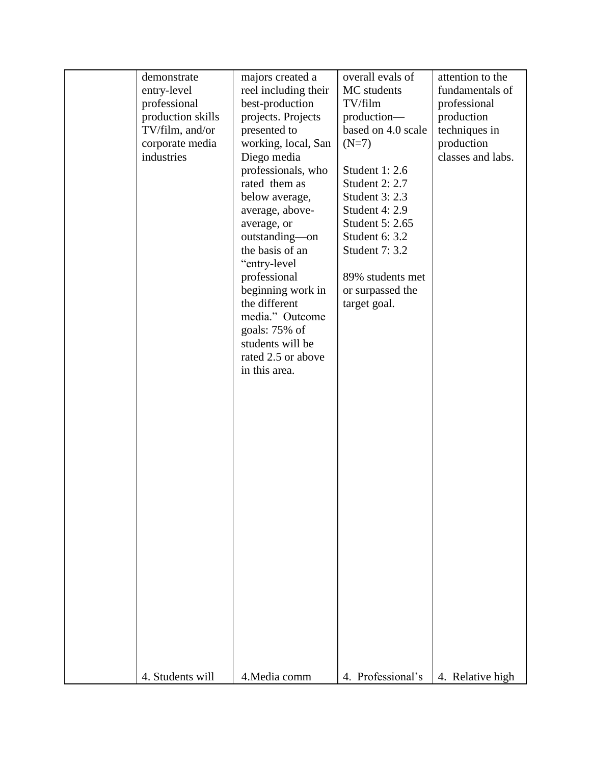| demonstrate<br>entry-level<br>professional<br>production skills<br>TV/film, and/or<br>corporate media<br>industries | majors created a<br>reel including their<br>best-production<br>projects. Projects<br>presented to<br>working, local, San<br>Diego media<br>professionals, who<br>rated them as<br>below average,<br>average, above-<br>average, or<br>outstanding-on<br>the basis of an<br>"entry-level<br>professional<br>beginning work in<br>the different<br>media." Outcome<br>goals: 75% of | overall evals of<br>MC students<br>TV/film<br>production-<br>based on 4.0 scale<br>$(N=7)$<br>Student 1: 2.6<br><b>Student 2: 2.7</b><br>Student 3: 2.3<br>Student 4: 2.9<br>Student 5: 2.65<br>Student 6: 3.2<br>Student 7: 3.2<br>89% students met<br>or surpassed the<br>target goal. | attention to the<br>fundamentals of<br>professional<br>production<br>techniques in<br>production<br>classes and labs. |
|---------------------------------------------------------------------------------------------------------------------|-----------------------------------------------------------------------------------------------------------------------------------------------------------------------------------------------------------------------------------------------------------------------------------------------------------------------------------------------------------------------------------|------------------------------------------------------------------------------------------------------------------------------------------------------------------------------------------------------------------------------------------------------------------------------------------|-----------------------------------------------------------------------------------------------------------------------|
| 4. Students will                                                                                                    | students will be<br>rated 2.5 or above<br>in this area.<br>4. Media comm                                                                                                                                                                                                                                                                                                          | 4. Professional's                                                                                                                                                                                                                                                                        | 4. Relative high                                                                                                      |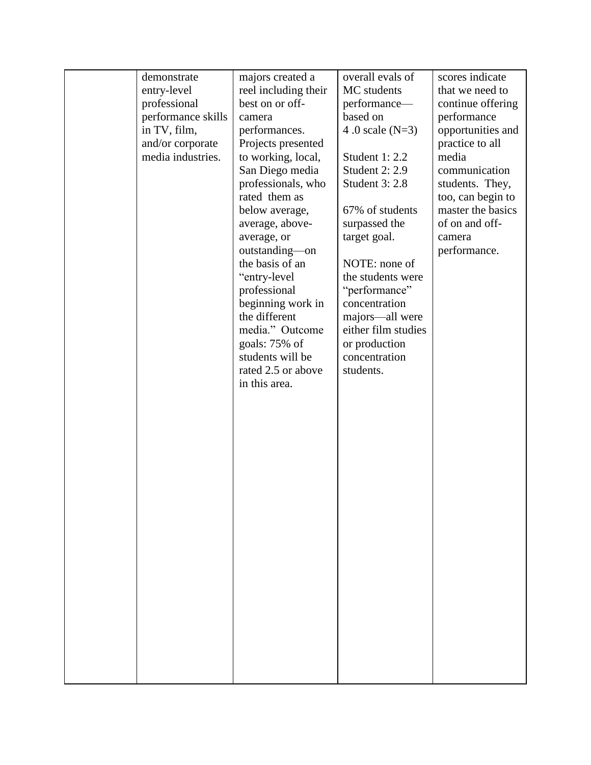| demonstrate        | majors created a     | overall evals of      | scores indicate   |
|--------------------|----------------------|-----------------------|-------------------|
| entry-level        | reel including their | MC students           | that we need to   |
| professional       | best on or off-      | performance-          | continue offering |
| performance skills | camera               | based on              | performance       |
| in TV, film,       | performances.        | 4.0 scale $(N=3)$     | opportunities and |
| and/or corporate   | Projects presented   |                       | practice to all   |
| media industries.  | to working, local,   | Student 1: 2.2        | media             |
|                    | San Diego media      | <b>Student 2: 2.9</b> | communication     |
|                    | professionals, who   | <b>Student 3: 2.8</b> | students. They,   |
|                    | rated them as        |                       | too, can begin to |
|                    | below average,       | 67% of students       | master the basics |
|                    | average, above-      | surpassed the         | of on and off-    |
|                    | average, or          | target goal.          | camera            |
|                    | outstanding-on       |                       | performance.      |
|                    | the basis of an      | NOTE: none of         |                   |
|                    | "entry-level         | the students were     |                   |
|                    | professional         | "performance"         |                   |
|                    | beginning work in    | concentration         |                   |
|                    | the different        | majors-all were       |                   |
|                    | media." Outcome      | either film studies   |                   |
|                    | goals: 75% of        | or production         |                   |
|                    | students will be     | concentration         |                   |
|                    | rated 2.5 or above   | students.             |                   |
|                    | in this area.        |                       |                   |
|                    |                      |                       |                   |
|                    |                      |                       |                   |
|                    |                      |                       |                   |
|                    |                      |                       |                   |
|                    |                      |                       |                   |
|                    |                      |                       |                   |
|                    |                      |                       |                   |
|                    |                      |                       |                   |
|                    |                      |                       |                   |
|                    |                      |                       |                   |
|                    |                      |                       |                   |
|                    |                      |                       |                   |
|                    |                      |                       |                   |
|                    |                      |                       |                   |
|                    |                      |                       |                   |
|                    |                      |                       |                   |
|                    |                      |                       |                   |
|                    |                      |                       |                   |
|                    |                      |                       |                   |
|                    |                      |                       |                   |
|                    |                      |                       |                   |